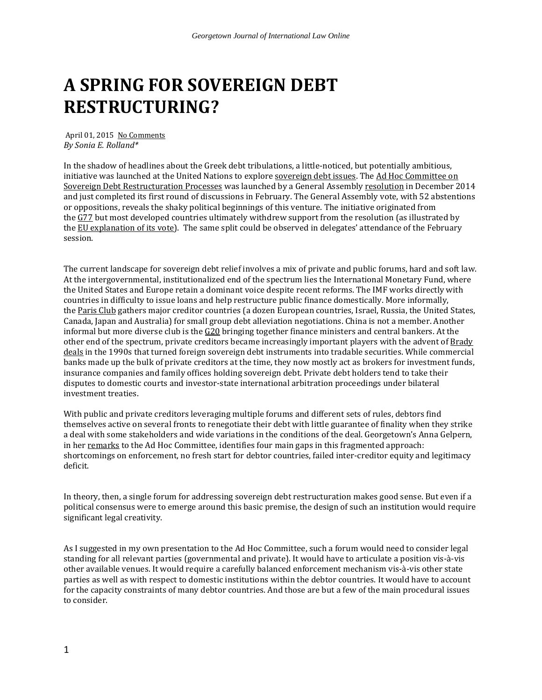## **A SPRING FOR SOVEREIGN DEBT RESTRUCTURING?**

April 01, 2015 [No Comments](http://gjilsummit.blogspot.com/2015/04/a-spring-for-sovereign-debt.html#comment-form) *By Sonia E. Rolland\**

In the shadow of headlines about the Greek debt tribulations, a little-noticed, but potentially ambitious, initiative was launched at the United Nations to explore [sovereign debt issues.](http://www.un.org/en/ga/search/view_doc.asp?symbol=A/RES/68/304) The [Ad Hoc Committee on](http://unctad.org/en/pages/MeetingDetails.aspx?meetingid=725)  [Sovereign Debt Restructuration Processes](http://unctad.org/en/pages/MeetingDetails.aspx?meetingid=725) was launched by a General Assembly [resolution](http://www.un.org/en/ga/search/view_doc.asp?symbol=A/RES/69/247) in December 2014 and just completed its first round of discussions in February. The General Assembly vote, with 52 abstentions or oppositions, reveals the shaky political beginnings of this venture. The initiative originated from the [G77](http://www.g77.org/) but most developed countries ultimately withdrew support from the resolution (as illustrated by the [EU explanation of its vote\)](http://eu-un.europa.eu/articles/en/article_15833_en.htm). The same split could be observed in delegates' attendance of the February session.

The current landscape for sovereign debt relief involves a mix of private and public forums, hard and soft law. At the intergovernmental, institutionalized end of the spectrum lies the International Monetary Fund, where the United States and Europe retain a dominant voice despite recent reforms. The IMF works directly with countries in difficulty to issue loans and help restructure public finance domestically. More informally, the [Paris Club](http://www.clubdeparis.org/en/) gathers major creditor countries (a dozen European countries, Israel, Russia, the United States, Canada, Japan and Australia) for small group debt alleviation negotiations. China is not a member. Another informal but more diverse club is the  $G20$  bringing together finance ministers and central bankers. At the other end of the spectrum, private creditors became increasingly important players with the advent of Brady [deals](http://www.emta.org/template.aspx?id=35) in the 1990s that turned foreign sovereign debt instruments into tradable securities. While commercial banks made up the bulk of private creditors at the time, they now mostly act as brokers for investment funds, insurance companies and family offices holding sovereign debt. Private debt holders tend to take their disputes to domestic courts and investor-state international arbitration proceedings under bilateral investment treaties.

With public and private creditors leveraging multiple forums and different sets of rules, debtors find themselves active on several fronts to renegotiate their debt with little guarantee of finality when they strike a deal with some stakeholders and wide variations in the conditions of the deal. Georgetown's Anna Gelpern, in her [remarks](http://www.piie.com/publications/testimony/gelpern20150204.pdf) to the Ad Hoc Committee, identifies four main gaps in this fragmented approach: shortcomings on enforcement, no fresh start for debtor countries, failed inter-creditor equity and legitimacy deficit.

In theory, then, a single forum for addressing sovereign debt restructuration makes good sense. But even if a political consensus were to emerge around this basic premise, the design of such an institution would require significant legal creativity.

As I suggested in my own presentation to the Ad Hoc Committee, such a forum would need to consider legal standing for all relevant parties (governmental and private). It would have to articulate a position vis-à-vis other available venues. It would require a carefully balanced enforcement mechanism vis-à-vis other state parties as well as with respect to domestic institutions within the debtor countries. It would have to account for the capacity constraints of many debtor countries. And those are but a few of the main procedural issues to consider.